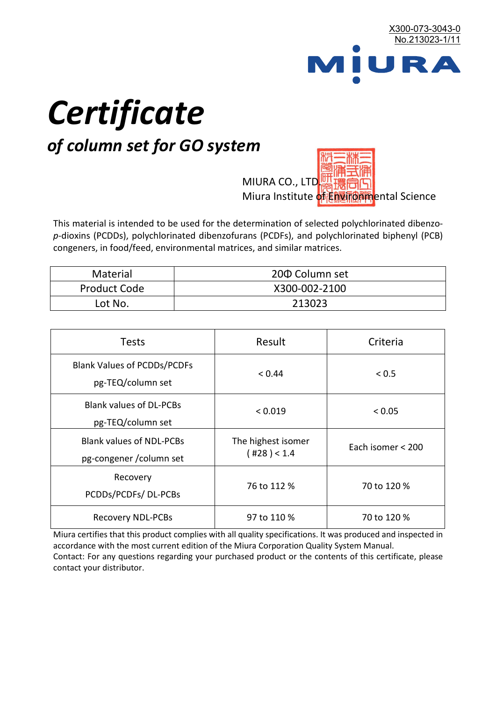

# *Certificate*

## *of column set for GO system*

MIURA CO., LTD. Miura Institute of 正版而解ental Science

This material is intended to be used for the determination of selected polychlorinated dibenzo*p*-dioxins (PCDDs), polychlorinated dibenzofurans (PCDFs), and polychlorinated biphenyl (PCB) congeners, in food/feed, environmental matrices, and similar matrices.

| <b>Material</b>     | 200 Column set |  |
|---------------------|----------------|--|
| <b>Product Code</b> | X300-002-2100  |  |
| Lot No.             | 213023         |  |

| <b>Tests</b>                                                | Result                            | Criteria          |
|-------------------------------------------------------------|-----------------------------------|-------------------|
| <b>Blank Values of PCDDs/PCDFs</b><br>pg-TEQ/column set     | < 0.44                            | ${}_{0.5}$        |
| <b>Blank values of DL-PCBs</b><br>pg-TEQ/column set         | < 0.019                           | < 0.05            |
| <b>Blank values of NDL-PCBs</b><br>pg-congener / column set | The highest isomer<br>(428) < 1.4 | Each isomer < 200 |
| Recovery<br>PCDDs/PCDFs/DL-PCBs                             | 76 to 112 %                       | 70 to 120 %       |
| <b>Recovery NDL-PCBs</b>                                    | 97 to 110 %                       | 70 to 120 %       |

Miura certifies that this product complies with all quality specifications. It was produced and inspected in accordance with the most current edition of the Miura Corporation Quality System Manual. Contact: For any questions regarding your purchased product or the contents of this certificate, please contact your distributor.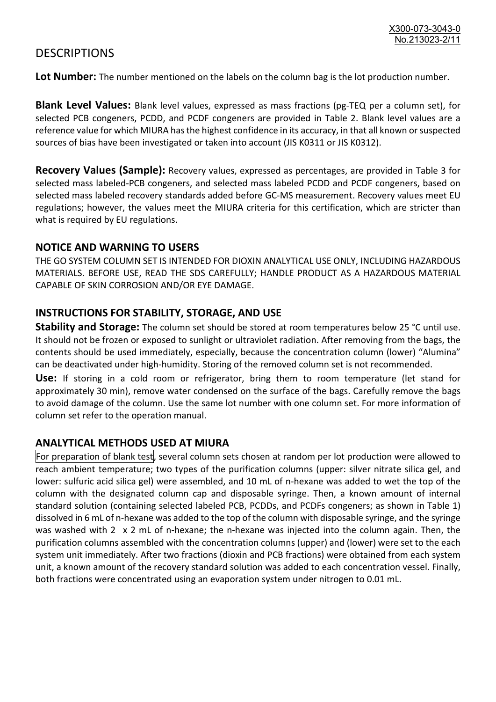### **DESCRIPTIONS**

**Lot Number:** The number mentioned on the labels on the column bag is the lot production number.

**Blank Level Values:** Blank level values, expressed as mass fractions (pg-TEQ per a column set), for selected PCB congeners, PCDD, and PCDF congeners are provided in Table 2. Blank level values are a reference value for which MIURA has the highest confidence in its accuracy, in that all known or suspected sources of bias have been investigated or taken into account (JIS K0311 or JIS K0312).

**Recovery Values (Sample):** Recovery values, expressed as percentages, are provided in Table 3 for selected mass labeled-PCB congeners, and selected mass labeled PCDD and PCDF congeners, based on selected mass labeled recovery standards added before GC-MS measurement. Recovery values meet EU regulations; however, the values meet the MIURA criteria for this certification, which are stricter than what is required by EU regulations.

#### **NOTICE AND WARNING TO USERS**

THE GO SYSTEM COLUMN SET IS INTENDED FOR DIOXIN ANALYTICAL USE ONLY, INCLUDING HAZARDOUS MATERIALS. BEFORE USE, READ THE SDS CAREFULLY; HANDLE PRODUCT AS A HAZARDOUS MATERIAL CAPABLE OF SKIN CORROSION AND/OR EYE DAMAGE.

#### **INSTRUCTIONS FOR STABILITY, STORAGE, AND USE**

**Stability and Storage:** The column set should be stored at room temperatures below 25 °C until use. It should not be frozen or exposed to sunlight or ultraviolet radiation. After removing from the bags, the contents should be used immediately, especially, because the concentration column (lower) "Alumina" can be deactivated under high-humidity. Storing of the removed column set is not recommended.

**Use:** If storing in a cold room or refrigerator, bring them to room temperature (let stand for approximately 30 min), remove water condensed on the surface of the bags. Carefully remove the bags to avoid damage of the column. Use the same lot number with one column set. For more information of column set refer to the operation manual.

#### **ANALYTICAL METHODS USED AT MIURA**

For preparation of blank test, several column sets chosen at random per lot production were allowed to reach ambient temperature; two types of the purification columns (upper: silver nitrate silica gel, and lower: sulfuric acid silica gel) were assembled, and 10 mL of n-hexane was added to wet the top of the column with the designated column cap and disposable syringe. Then, a known amount of internal standard solution (containing selected labeled PCB, PCDDs, and PCDFs congeners; as shown in Table 1) dissolved in 6 mL of n-hexane was added to the top of the column with disposable syringe, and the syringe was washed with 2 x 2 mL of n-hexane; the n-hexane was injected into the column again. Then, the purification columns assembled with the concentration columns (upper) and (lower) were set to the each system unit immediately. After two fractions (dioxin and PCB fractions) were obtained from each system unit, a known amount of the recovery standard solution was added to each concentration vessel. Finally, both fractions were concentrated using an evaporation system under nitrogen to 0.01 mL.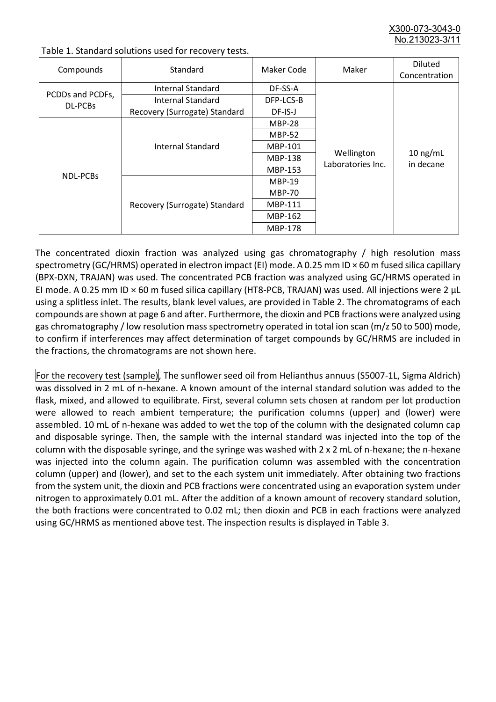X300-073-3043-0 No.213023-3/

| Compounds                   | Standard                      | Maker Code     | Maker                           | <b>Diluted</b><br>Concentration |
|-----------------------------|-------------------------------|----------------|---------------------------------|---------------------------------|
| PCDDs and PCDFs,<br>DL-PCBs | Internal Standard             | DF-SS-A        |                                 | $10$ ng/mL<br>in decane         |
|                             | <b>Internal Standard</b>      | DFP-LCS-B      |                                 |                                 |
|                             | Recovery (Surrogate) Standard | DF-IS-J        | Wellington<br>Laboratories Inc. |                                 |
| <b>NDL-PCBs</b>             | Internal Standard             | <b>MBP-28</b>  |                                 |                                 |
|                             |                               | <b>MBP-52</b>  |                                 |                                 |
|                             |                               | MBP-101        |                                 |                                 |
|                             |                               | <b>MBP-138</b> |                                 |                                 |
|                             |                               | MBP-153        |                                 |                                 |
|                             | Recovery (Surrogate) Standard | <b>MBP-19</b>  |                                 |                                 |
|                             |                               | <b>MBP-70</b>  |                                 |                                 |
|                             |                               | MBP-111        |                                 |                                 |
|                             |                               | MBP-162        |                                 |                                 |
|                             |                               | <b>MBP-178</b> |                                 |                                 |

Table 1. Standard solutions used for recovery tests.

The concentrated dioxin fraction was analyzed using gas chromatography / high resolution mass spectrometry (GC/HRMS) operated in electron impact (EI) mode. A 0.25 mm ID × 60 m fused silica capillary (BPX-DXN, TRAJAN) was used. The concentrated PCB fraction was analyzed using GC/HRMS operated in EI mode. A 0.25 mm ID × 60 m fused silica capillary (HT8-PCB, TRAJAN) was used. All injections were 2 μL using a splitless inlet. The results, blank level values, are provided in Table 2. The chromatograms of each compounds are shown at page 6 and after. Furthermore, the dioxin and PCB fractions were analyzed using gas chromatography / low resolution mass spectrometry operated in total ion scan (m/z 50 to 500) mode, to confirm if interferences may affect determination of target compounds by GC/HRMS are included in the fractions, the chromatograms are not shown here.

For the recovery test (sample), The sunflower seed oil from Helianthus annuus (S5007-1L, Sigma Aldrich) was dissolved in 2 mL of n-hexane. A known amount of the internal standard solution was added to the flask, mixed, and allowed to equilibrate. First, several column sets chosen at random per lot production were allowed to reach ambient temperature; the purification columns (upper) and (lower) were assembled. 10 mL of n-hexane was added to wet the top of the column with the designated column cap and disposable syringe. Then, the sample with the internal standard was injected into the top of the column with the disposable syringe, and the syringe was washed with 2 x 2 mL of n-hexane; the n-hexane was injected into the column again. The purification column was assembled with the concentration column (upper) and (lower), and set to the each system unit immediately. After obtaining two fractions from the system unit, the dioxin and PCB fractions were concentrated using an evaporation system under nitrogen to approximately 0.01 mL. After the addition of a known amount of recovery standard solution, the both fractions were concentrated to 0.02 mL; then dioxin and PCB in each fractions were analyzed using GC/HRMS as mentioned above test. The inspection results is displayed in Table 3.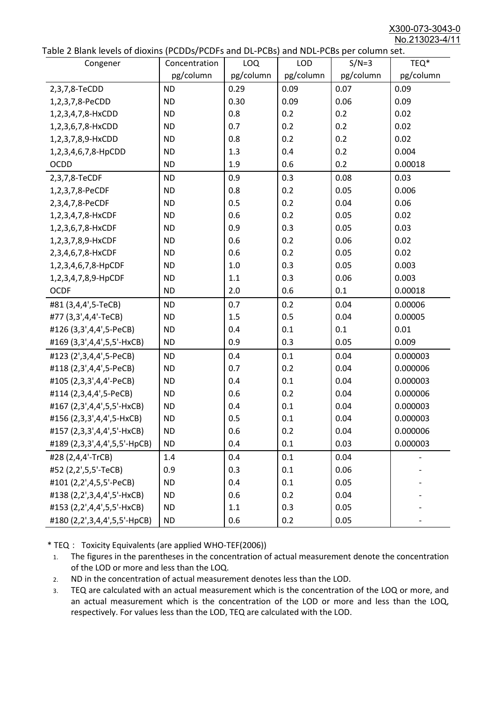X300-073-3043-0 No.213023-4/11

|  | Table 2 Blank levels of dioxins (PCDDs/PCDFs and DL-PCBs) and NDL-PCBs per column set. |
|--|----------------------------------------------------------------------------------------|
|--|----------------------------------------------------------------------------------------|

| abic 2 Diarik icveis of dioxins (I CDD3/TCDTs and DET CD3/ and NDET CD3 pcr column sett. |               |           |            |           |           |
|------------------------------------------------------------------------------------------|---------------|-----------|------------|-----------|-----------|
| Congener                                                                                 | Concentration | LOQ       | <b>LOD</b> | $S/N=3$   | TEQ*      |
|                                                                                          | pg/column     | pg/column | pg/column  | pg/column | pg/column |
| 2,3,7,8-TeCDD                                                                            | <b>ND</b>     | 0.29      | 0.09       | 0.07      | 0.09      |
| 1,2,3,7,8-PeCDD                                                                          | <b>ND</b>     | 0.30      | 0.09       | 0.06      | 0.09      |
| 1,2,3,4,7,8-HxCDD                                                                        | <b>ND</b>     | 0.8       | 0.2        | 0.2       | 0.02      |
| 1,2,3,6,7,8-HxCDD                                                                        | <b>ND</b>     | 0.7       | 0.2        | 0.2       | 0.02      |
| 1,2,3,7,8,9-HxCDD                                                                        | <b>ND</b>     | 0.8       | 0.2        | 0.2       | 0.02      |
| 1,2,3,4,6,7,8-HpCDD                                                                      | <b>ND</b>     | 1.3       | 0.4        | 0.2       | 0.004     |
| <b>OCDD</b>                                                                              | <b>ND</b>     | 1.9       | 0.6        | 0.2       | 0.00018   |
| 2,3,7,8-TeCDF                                                                            | <b>ND</b>     | 0.9       | 0.3        | 0.08      | 0.03      |
| 1,2,3,7,8-PeCDF                                                                          | <b>ND</b>     | 0.8       | 0.2        | 0.05      | 0.006     |
| 2,3,4,7,8-PeCDF                                                                          | <b>ND</b>     | 0.5       | 0.2        | 0.04      | 0.06      |
| 1,2,3,4,7,8-HxCDF                                                                        | <b>ND</b>     | 0.6       | 0.2        | 0.05      | 0.02      |
| 1,2,3,6,7,8-HxCDF                                                                        | <b>ND</b>     | 0.9       | 0.3        | 0.05      | 0.03      |
| 1,2,3,7,8,9-HxCDF                                                                        | <b>ND</b>     | 0.6       | 0.2        | 0.06      | 0.02      |
| 2,3,4,6,7,8-HxCDF                                                                        | <b>ND</b>     | 0.6       | 0.2        | 0.05      | 0.02      |
| 1,2,3,4,6,7,8-HpCDF                                                                      | <b>ND</b>     | 1.0       | 0.3        | 0.05      | 0.003     |
| 1,2,3,4,7,8,9-HpCDF                                                                      | <b>ND</b>     | 1.1       | 0.3        | 0.06      | 0.003     |
| <b>OCDF</b>                                                                              | <b>ND</b>     | 2.0       | 0.6        | 0.1       | 0.00018   |
| #81 (3,4,4',5-TeCB)                                                                      | <b>ND</b>     | 0.7       | 0.2        | 0.04      | 0.00006   |
| #77 (3,3',4,4'-TeCB)                                                                     | <b>ND</b>     | 1.5       | 0.5        | 0.04      | 0.00005   |
| #126 (3,3',4,4',5-PeCB)                                                                  | <b>ND</b>     | 0.4       | 0.1        | 0.1       | 0.01      |
| #169 (3,3',4,4',5,5'-HxCB)                                                               | <b>ND</b>     | 0.9       | 0.3        | 0.05      | 0.009     |
| #123 (2',3,4,4',5-PeCB)                                                                  | <b>ND</b>     | 0.4       | 0.1        | 0.04      | 0.000003  |
| #118 (2,3',4,4',5-PeCB)                                                                  | <b>ND</b>     | 0.7       | 0.2        | 0.04      | 0.000006  |
| #105 (2,3,3',4,4'-PeCB)                                                                  | <b>ND</b>     | 0.4       | 0.1        | 0.04      | 0.000003  |
| #114 (2,3,4,4',5-PeCB)                                                                   | <b>ND</b>     | 0.6       | 0.2        | 0.04      | 0.000006  |
| #167 (2,3',4,4',5,5'-HxCB)                                                               | <b>ND</b>     | 0.4       | 0.1        | 0.04      | 0.000003  |
| #156 (2,3,3',4,4',5-HxCB)                                                                | <b>ND</b>     | 0.5       | 0.1        | 0.04      | 0.000003  |
| #157 (2,3,3',4,4',5'-HxCB)                                                               | <b>ND</b>     | 0.6       | 0.2        | 0.04      | 0.000006  |
| #189 (2,3,3',4,4',5,5'-HpCB)                                                             | <b>ND</b>     | 0.4       | 0.1        | 0.03      | 0.000003  |
| #28 (2,4,4'-TrCB)                                                                        | 1.4           | 0.4       | 0.1        | 0.04      |           |
| #52 (2,2',5,5'-TeCB)                                                                     | 0.9           | 0.3       | 0.1        | 0.06      |           |
| #101 (2,2',4,5,5'-PeCB)                                                                  | <b>ND</b>     | 0.4       | 0.1        | 0.05      |           |
| #138 (2,2',3,4,4',5'-HxCB)                                                               | <b>ND</b>     | 0.6       | 0.2        | 0.04      |           |
| #153 (2,2',4,4',5,5'-HxCB)                                                               | <b>ND</b>     | 1.1       | 0.3        | 0.05      |           |
| #180 (2,2',3,4,4',5,5'-HpCB)                                                             | <b>ND</b>     | 0.6       | 0.2        | 0.05      |           |

\* TEQ: Toxicity Equivalents (are applied WHO-TEF(2006))

- 1. The figures in the parentheses in the concentration of actual measurement denote the concentration of the LOD or more and less than the LOQ.
- 2. ND in the concentration of actual measurement denotes less than the LOD.
- 3. TEQ are calculated with an actual measurement which is the concentration of the LOQ or more, and an actual measurement which is the concentration of the LOD or more and less than the LOQ, respectively. For values less than the LOD, TEQ are calculated with the LOD.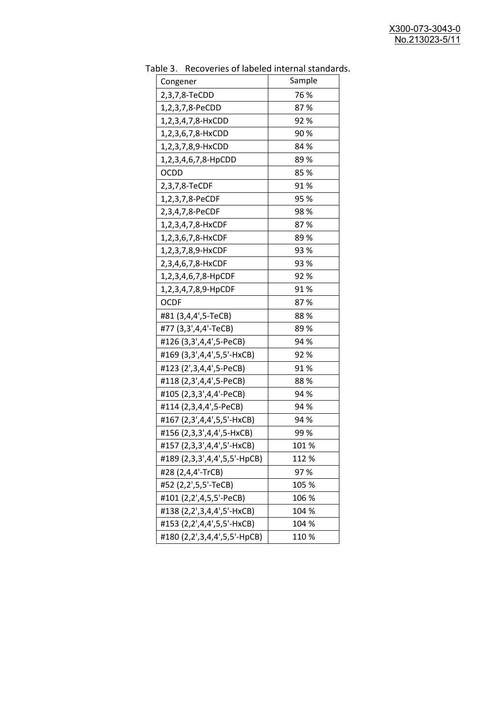| uwic J.<br><u>RECOVERTS OF RESERVED INTERNATION STATIONS</u><br>Congener | Sample |
|--------------------------------------------------------------------------|--------|
| 2,3,7,8-TeCDD                                                            | 76 %   |
| 1,2,3,7,8-PeCDD                                                          | 87%    |
| 1,2,3,4,7,8-HxCDD                                                        | 92%    |
| 1,2,3,6,7,8-HxCDD                                                        | 90%    |
| 1,2,3,7,8,9-HxCDD                                                        | 84 %   |
| 1,2,3,4,6,7,8-HpCDD                                                      | 89%    |
| <b>OCDD</b>                                                              | 85 %   |
| 2,3,7,8-TeCDF                                                            | 91%    |
| 1,2,3,7,8-PeCDF                                                          | 95 %   |
| 2,3,4,7,8-PeCDF                                                          | 98%    |
| 1,2,3,4,7,8-HxCDF                                                        | 87%    |
| 1,2,3,6,7,8-HxCDF                                                        | 89 %   |
| 1,2,3,7,8,9-HxCDF                                                        | 93 %   |
| 2,3,4,6,7,8-HxCDF                                                        | 93 %   |
| 1,2,3,4,6,7,8-HpCDF                                                      | 92%    |
| 1,2,3,4,7,8,9-HpCDF                                                      | 91%    |
| <b>OCDF</b>                                                              | 87%    |
| #81 (3,4,4',5-TeCB)                                                      | 88%    |
| #77 (3,3',4,4'-TeCB)                                                     | 89 %   |
| #126 (3,3',4,4',5-PeCB)                                                  | 94 %   |
| #169 (3,3',4,4',5,5'-HxCB)                                               | 92%    |
| #123 (2',3,4,4',5-PeCB)                                                  | 91%    |
| #118 (2,3',4,4',5-PeCB)                                                  | 88%    |
| #105 (2,3,3',4,4'-PeCB)                                                  | 94 %   |
| #114 (2,3,4,4',5-PeCB)                                                   | 94 %   |
| #167 (2,3',4,4',5,5'-HxCB)                                               | 94 %   |
| #156 (2,3,3',4,4',5-HxCB)                                                | 99%    |
| #157 (2,3,3',4,4',5'-HxCB)                                               | 101%   |
| #189 (2,3,3',4,4',5,5'-HpCB)                                             | 112 %  |
| #28 (2,4,4'-TrCB)                                                        | 97%    |
| #52 (2,2',5,5'-TeCB)                                                     | 105 %  |
| #101 (2,2',4,5,5'-PeCB)                                                  | 106 %  |
| #138 (2,2',3,4,4',5'-HxCB)                                               | 104 %  |
| #153 (2,2',4,4',5,5'-HxCB)                                               | 104 %  |
| #180 (2,2',3,4,4',5,5'-HpCB)                                             | 110%   |

Table 3. Recoveries of labeled internal standards.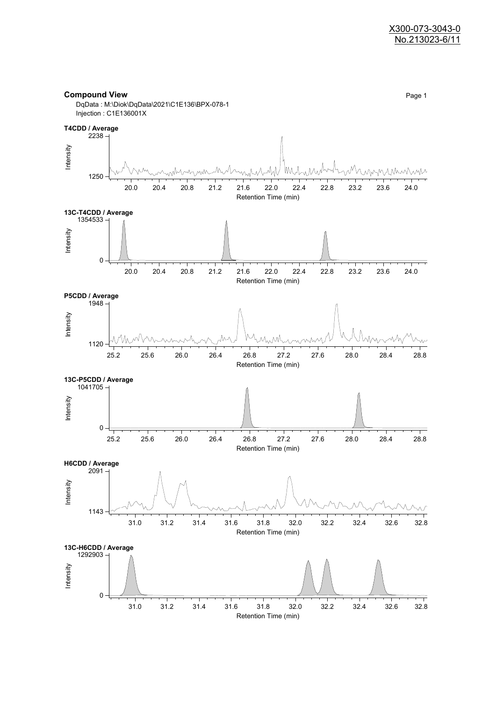#### **Compound View** Page 1 DqData : M:\Diok\DqData\2021\C1E136\BPX-078-1 Injection : C1E136001X

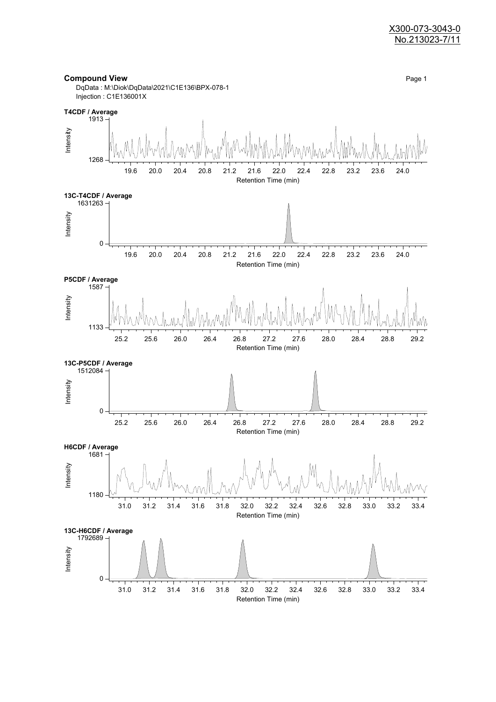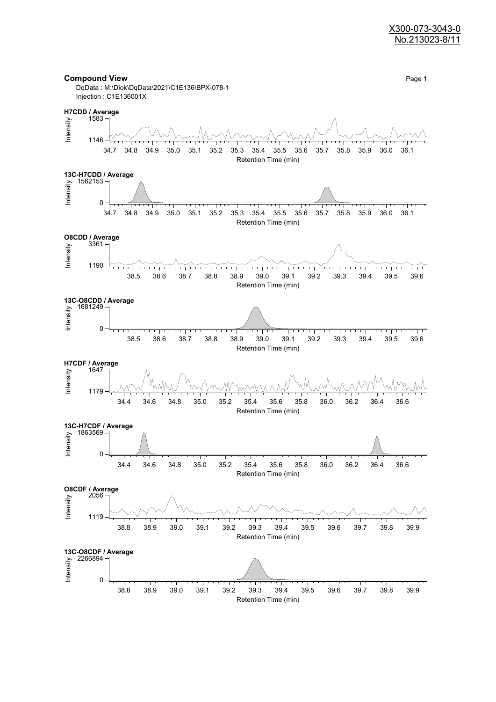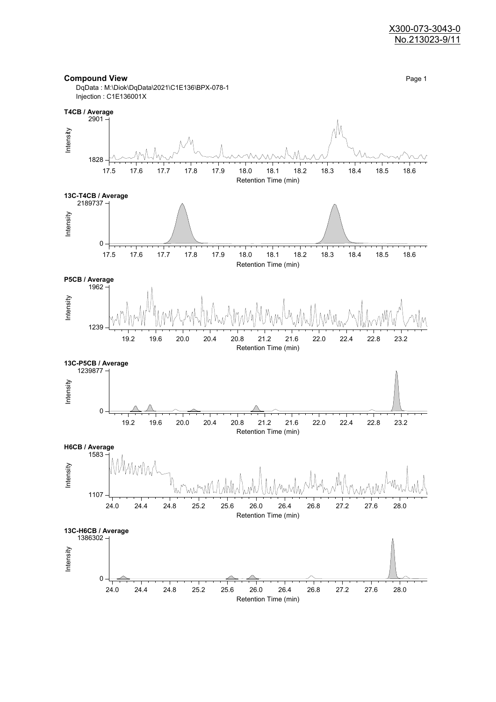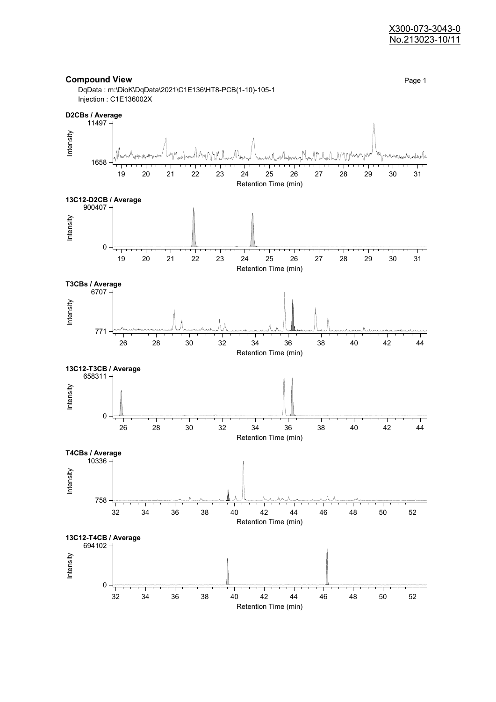